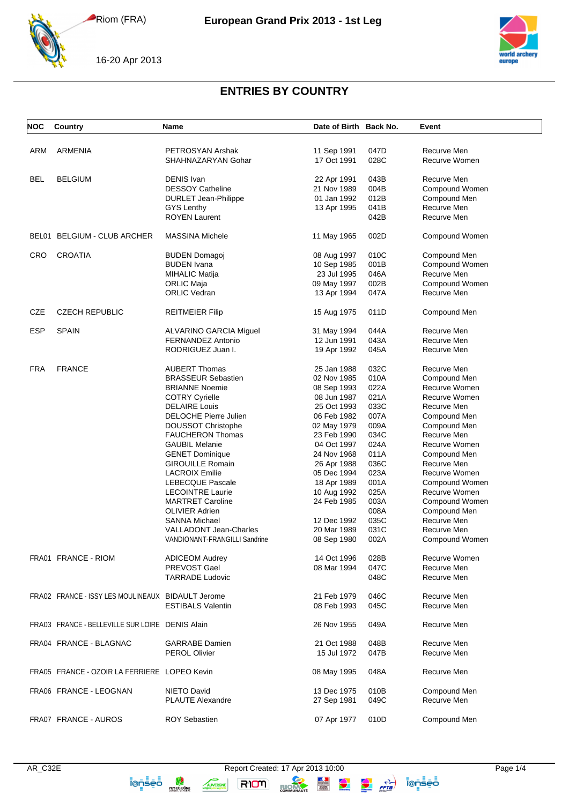

16-20 Apr 2013



## **ENTRIES BY COUNTRY**

| <b>NOC</b> | Country                                           | <b>Name</b>                   | Date of Birth Back No. |              | Event                        |
|------------|---------------------------------------------------|-------------------------------|------------------------|--------------|------------------------------|
|            |                                                   |                               |                        |              |                              |
| ARM        | <b>ARMENIA</b>                                    | PETROSYAN Arshak              | 11 Sep 1991            | 047D<br>028C | Recurve Men<br>Recurve Women |
|            |                                                   | SHAHNAZARYAN Gohar            | 17 Oct 1991            |              |                              |
| <b>BEL</b> | <b>BELGIUM</b>                                    | <b>DENIS Ivan</b>             | 22 Apr 1991            | 043B         | Recurve Men                  |
|            |                                                   | <b>DESSOY Catheline</b>       | 21 Nov 1989            | 004B         | Compound Women               |
|            |                                                   | <b>DURLET Jean-Philippe</b>   | 01 Jan 1992            | 012B         | Compound Men                 |
|            |                                                   | <b>GYS Lenthy</b>             | 13 Apr 1995            | 041B         | Recurve Men                  |
|            |                                                   | <b>ROYEN Laurent</b>          |                        | 042B         | Recurve Men                  |
|            | BEL01 BELGIUM - CLUB ARCHER                       | <b>MASSINA Michele</b>        | 11 May 1965            | 002D         | Compound Women               |
| <b>CRO</b> | <b>CROATIA</b>                                    | <b>BUDEN Domagoj</b>          | 08 Aug 1997            | 010C         | Compound Men                 |
|            |                                                   | <b>BUDEN</b> Ivana            | 10 Sep 1985            | 001B         | Compound Women               |
|            |                                                   | <b>MIHALIC Matija</b>         | 23 Jul 1995            | 046A         | Recurve Men                  |
|            |                                                   | ORLIC Maja                    | 09 May 1997            | 002B         | Compound Women               |
|            |                                                   | <b>ORLIC Vedran</b>           | 13 Apr 1994            | 047A         | Recurve Men                  |
| CZE        | <b>CZECH REPUBLIC</b>                             | <b>REITMEIER Filip</b>        | 15 Aug 1975            | 011D         | Compound Men                 |
| ESP        | <b>SPAIN</b>                                      | ALVARINO GARCIA Miguel        | 31 May 1994            | 044A         | Recurve Men                  |
|            |                                                   | FERNANDEZ Antonio             | 12 Jun 1991            | 043A         | Recurve Men                  |
|            |                                                   | RODRIGUEZ Juan I.             | 19 Apr 1992            | 045A         | Recurve Men                  |
| <b>FRA</b> | <b>FRANCE</b>                                     | <b>AUBERT Thomas</b>          | 25 Jan 1988            | 032C         | Recurve Men                  |
|            |                                                   | <b>BRASSEUR Sebastien</b>     | 02 Nov 1985            | 010A         | Compound Men                 |
|            |                                                   | <b>BRIANNE Noemie</b>         | 08 Sep 1993            | 022A         | Recurve Women                |
|            |                                                   | <b>COTRY Cyrielle</b>         | 08 Jun 1987            | 021A         | Recurve Women                |
|            |                                                   | <b>DELAIRE Louis</b>          | 25 Oct 1993            | 033C         | Recurve Men                  |
|            |                                                   | <b>DELOCHE Pierre Julien</b>  | 06 Feb 1982            | 007A         | Compound Men                 |
|            |                                                   | DOUSSOT Christophe            | 02 May 1979            | 009A         | Compound Men                 |
|            |                                                   | <b>FAUCHERON Thomas</b>       | 23 Feb 1990            | 034C         | Recurve Men                  |
|            |                                                   | <b>GAUBIL Melanie</b>         | 04 Oct 1997            | 024A         | Recurve Women                |
|            |                                                   | <b>GENET Dominique</b>        | 24 Nov 1968            | 011A         | Compound Men                 |
|            |                                                   | <b>GIROUILLE Romain</b>       | 26 Apr 1988            | 036C         | Recurve Men                  |
|            |                                                   | <b>LACROIX Emilie</b>         | 05 Dec 1994            | 023A         | Recurve Women                |
|            |                                                   | <b>LEBECQUE Pascale</b>       | 18 Apr 1989            | 001A         | Compound Women               |
|            |                                                   | <b>LECOINTRE Laurie</b>       | 10 Aug 1992            | 025A         | Recurve Women                |
|            |                                                   | <b>MARTRET Caroline</b>       | 24 Feb 1985            | 003A         | Compound Women               |
|            |                                                   | <b>OLIVIER Adrien</b>         |                        | 008A         | Compound Men                 |
|            |                                                   | <b>SANNA Michael</b>          | 12 Dec 1992            | 035C         | Recurve Men                  |
|            |                                                   | <b>VALLADONT Jean-Charles</b> | 20 Mar 1989            | 031C         | Recurve Men                  |
|            |                                                   | VANDIONANT-FRANGILLI Sandrine | 08 Sep 1980            | 002A         | Compound Women               |
|            | FRA01 FRANCE - RIOM                               | <b>ADICEOM Audrey</b>         | 14 Oct 1996            | 028B         | Recurve Women                |
|            |                                                   | PREVOST Gael                  | 08 Mar 1994            | 047C         | Recurve Men                  |
|            |                                                   | <b>TARRADE Ludovic</b>        |                        | 048C         | Recurve Men                  |
|            | FRA02 FRANCE - ISSY LES MOULINEAUX BIDAULT Jerome |                               | 21 Feb 1979            | 046C         | Recurve Men                  |
|            |                                                   | <b>ESTIBALS Valentin</b>      | 08 Feb 1993            | 045C         | Recurve Men                  |
|            | FRA03 FRANCE - BELLEVILLE SUR LOIRE DENIS Alain   |                               |                        |              |                              |
|            |                                                   |                               | 26 Nov 1955            | 049A         | Recurve Men                  |
|            | FRA04 FRANCE - BLAGNAC                            | <b>GARRABE</b> Damien         | 21 Oct 1988            | 048B         | Recurve Men                  |
|            |                                                   | <b>PEROL Olivier</b>          | 15 Jul 1972            | 047B         | Recurve Men                  |
|            | FRA05 FRANCE - OZOIR LA FERRIERE LOPEO Kevin      |                               | 08 May 1995            | 048A         | Recurve Men                  |
|            | FRA06 FRANCE - LEOGNAN                            | NIETO David                   | 13 Dec 1975            | 010B         | Compound Men                 |
|            |                                                   | <b>PLAUTE Alexandre</b>       | 27 Sep 1981            | 049C         | Recurve Men                  |
|            |                                                   |                               |                        |              |                              |
|            | FRA07 FRANCE - AUROS                              | <b>ROY Sebastien</b>          | 07 Apr 1977            | 010D         | Compound Men                 |

**ionsed**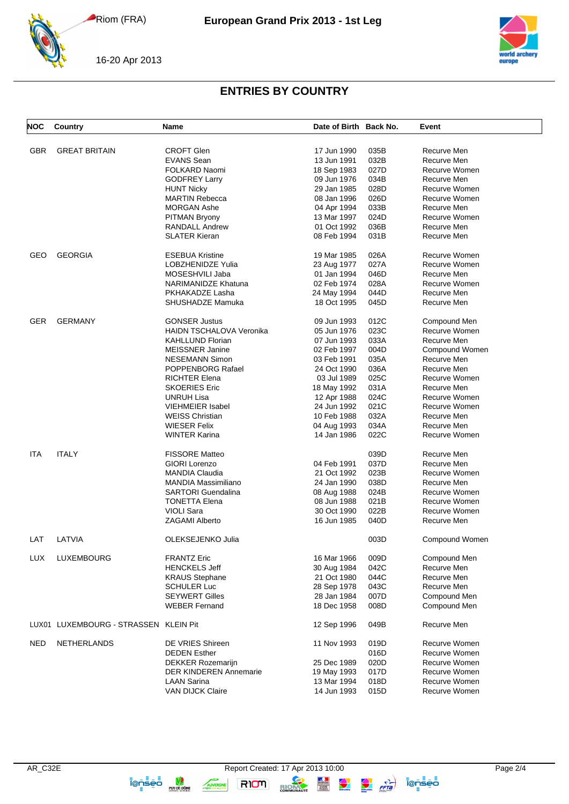



## **ENTRIES BY COUNTRY**

| <b>NOC</b> | <b>Country</b>                        | Name                            | Date of Birth Back No. |      | Event          |
|------------|---------------------------------------|---------------------------------|------------------------|------|----------------|
| <b>GBR</b> | <b>GREAT BRITAIN</b>                  | <b>CROFT Glen</b>               | 17 Jun 1990            | 035B | Recurve Men    |
|            |                                       | <b>EVANS Sean</b>               | 13 Jun 1991            | 032B | Recurve Men    |
|            |                                       | FOLKARD Naomi                   | 18 Sep 1983            | 027D | Recurve Women  |
|            |                                       | <b>GODFREY Larry</b>            | 09 Jun 1976            | 034B | Recurve Men    |
|            |                                       | <b>HUNT Nicky</b>               | 29 Jan 1985            | 028D | Recurve Women  |
|            |                                       | <b>MARTIN Rebecca</b>           | 08 Jan 1996            | 026D | Recurve Women  |
|            |                                       | <b>MORGAN Ashe</b>              | 04 Apr 1994            | 033B | Recurve Men    |
|            |                                       | <b>PITMAN Bryony</b>            | 13 Mar 1997            | 024D | Recurve Women  |
|            |                                       | <b>RANDALL Andrew</b>           | 01 Oct 1992            | 036B | Recurve Men    |
|            |                                       | <b>SLATER Kieran</b>            | 08 Feb 1994            | 031B | Recurve Men    |
| GEO        | <b>GEORGIA</b>                        | <b>ESEBUA Kristine</b>          | 19 Mar 1985            | 026A | Recurve Women  |
|            |                                       | LOBZHENIDZE Yulia               | 23 Aug 1977            | 027A | Recurve Women  |
|            |                                       | MOSESHVILI Jaba                 | 01 Jan 1994            | 046D | Recurve Men    |
|            |                                       | <b>NARIMANIDZE Khatuna</b>      | 02 Feb 1974            | 028A | Recurve Women  |
|            |                                       | PKHAKADZE Lasha                 | 24 May 1994            | 044D | Recurve Men    |
|            |                                       | SHUSHADZE Mamuka                | 18 Oct 1995            | 045D | Recurve Men    |
| GER        | <b>GERMANY</b>                        | <b>GONSER Justus</b>            | 09 Jun 1993            | 012C | Compound Men   |
|            |                                       | <b>HAIDN TSCHALOVA Veronika</b> | 05 Jun 1976            | 023C | Recurve Women  |
|            |                                       | <b>KAHLLUND Florian</b>         | 07 Jun 1993            | 033A | Recurve Men    |
|            |                                       | <b>MEISSNER Janine</b>          | 02 Feb 1997            | 004D | Compound Women |
|            |                                       | <b>NESEMANN Simon</b>           | 03 Feb 1991            | 035A | Recurve Men    |
|            |                                       | POPPENBORG Rafael               | 24 Oct 1990            | 036A | Recurve Men    |
|            |                                       | <b>RICHTER Elena</b>            | 03 Jul 1989            | 025C | Recurve Women  |
|            |                                       | <b>SKOERIES Eric</b>            | 18 May 1992            | 031A | Recurve Men    |
|            |                                       | <b>UNRUH Lisa</b>               | 12 Apr 1988            | 024C | Recurve Women  |
|            |                                       | <b>VIEHMEIER Isabel</b>         | 24 Jun 1992            | 021C | Recurve Women  |
|            |                                       | <b>WEISS Christian</b>          | 10 Feb 1988            | 032A | Recurve Men    |
|            |                                       | <b>WIESER Felix</b>             | 04 Aug 1993            | 034A | Recurve Men    |
|            |                                       | <b>WINTER Karina</b>            | 14 Jan 1986            | 022C | Recurve Women  |
|            |                                       |                                 |                        |      |                |
| ITA        | <b>ITALY</b>                          | <b>FISSORE Matteo</b>           |                        | 039D | Recurve Men    |
|            |                                       | <b>GIORI Lorenzo</b>            | 04 Feb 1991            | 037D | Recurve Men    |
|            |                                       | <b>MANDIA Claudia</b>           | 21 Oct 1992            | 023B | Recurve Women  |
|            |                                       | <b>MANDIA Massimiliano</b>      | 24 Jan 1990            | 038D | Recurve Men    |
|            |                                       | <b>SARTORI Guendalina</b>       | 08 Aug 1988            | 024B | Recurve Women  |
|            |                                       | <b>TONETTA Elena</b>            | 08 Jun 1988            | 021B | Recurve Women  |
|            |                                       | <b>VIOLI Sara</b>               | 30 Oct 1990            | 022B | Recurve Women  |
|            |                                       | ZAGAMI Alberto                  | 16 Jun 1985            | 040D | Recurve Men    |
| LAT        | LATVIA                                | OLEKSEJENKO Julia               |                        | 003D | Compound Women |
| LUX        | LUXEMBOURG                            | <b>FRANTZ Eric</b>              | 16 Mar 1966            | 009D | Compound Men   |
|            |                                       | <b>HENCKELS Jeff</b>            | 30 Aug 1984            | 042C | Recurve Men    |
|            |                                       | <b>KRAUS Stephane</b>           | 21 Oct 1980            | 044C | Recurve Men    |
|            |                                       | <b>SCHULER Luc</b>              | 28 Sep 1978            | 043C | Recurve Men    |
|            |                                       | <b>SEYWERT Gilles</b>           | 28 Jan 1984            | 007D | Compound Men   |
|            |                                       | <b>WEBER Fernand</b>            | 18 Dec 1958            | 008D | Compound Men   |
|            | LUX01 LUXEMBOURG - STRASSEN KLEIN Pit |                                 | 12 Sep 1996            | 049B | Recurve Men    |
| <b>NED</b> | NETHERLANDS                           | DE VRIES Shireen                | 11 Nov 1993            | 019D | Recurve Women  |
|            |                                       | <b>DEDEN Esther</b>             |                        | 016D | Recurve Women  |
|            |                                       | <b>DEKKER Rozemarijn</b>        | 25 Dec 1989            | 020D | Recurve Women  |
|            |                                       | <b>DER KINDEREN Annemarie</b>   | 19 May 1993            | 017D | Recurve Women  |
|            |                                       | <b>LAAN Sarina</b>              | 13 Mar 1994            | 018D | Recurve Women  |
|            |                                       | VAN DIJCK Claire                | 14 Jun 1993            | 015D | Recurve Women  |

i@nsed <sub>swatch</sub>

AUVERGNE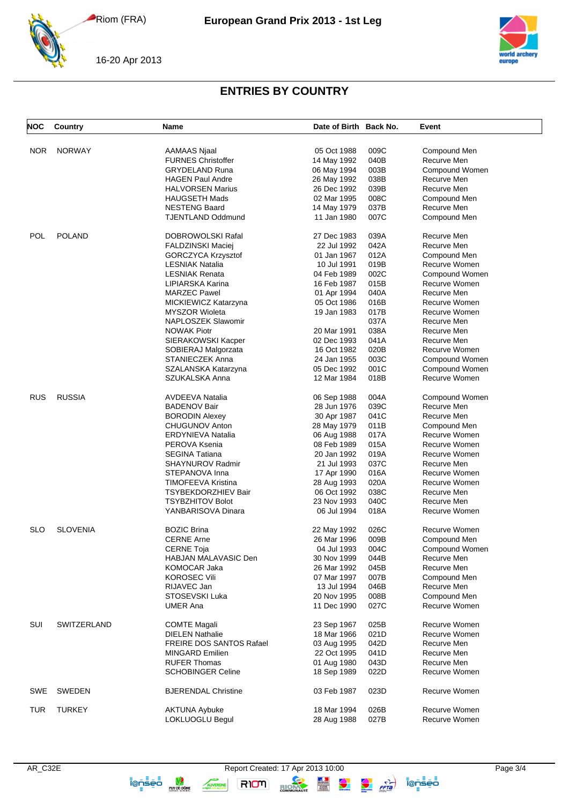



## **ENTRIES BY COUNTRY**

| <b>NOC</b> | Country         | Name                            | Date of Birth Back No. |      | Event          |
|------------|-----------------|---------------------------------|------------------------|------|----------------|
| NOR        | <b>NORWAY</b>   | AAMAAS Njaal                    | 05 Oct 1988            | 009C | Compound Men   |
|            |                 | <b>FURNES Christoffer</b>       | 14 May 1992            | 040B | Recurve Men    |
|            |                 | <b>GRYDELAND Runa</b>           | 06 May 1994            | 003B | Compound Women |
|            |                 | <b>HAGEN Paul Andre</b>         | 26 May 1992            | 038B | Recurve Men    |
|            |                 | <b>HALVORSEN Marius</b>         | 26 Dec 1992            | 039B | Recurve Men    |
|            |                 |                                 |                        |      |                |
|            |                 | <b>HAUGSETH Mads</b>            | 02 Mar 1995            | 008C | Compound Men   |
|            |                 | <b>NESTENG Baard</b>            | 14 May 1979            | 037B | Recurve Men    |
|            |                 | <b>TJENTLAND Oddmund</b>        | 11 Jan 1980            | 007C | Compound Men   |
| POL        | <b>POLAND</b>   | <b>DOBROWOLSKI Rafal</b>        | 27 Dec 1983            | 039A | Recurve Men    |
|            |                 | <b>FALDZINSKI Maciej</b>        | 22 Jul 1992            | 042A | Recurve Men    |
|            |                 | GORCZYCA Krzysztof              | 01 Jan 1967            | 012A | Compound Men   |
|            |                 | <b>LESNIAK Natalia</b>          | 10 Jul 1991            | 019B | Recurve Women  |
|            |                 | <b>LESNIAK Renata</b>           | 04 Feb 1989            | 002C | Compound Women |
|            |                 | LIPIARSKA Karina                | 16 Feb 1987            | 015B | Recurve Women  |
|            |                 | <b>MARZEC Pawel</b>             | 01 Apr 1994            | 040A | Recurve Men    |
|            |                 | MICKIEWICZ Katarzyna            | 05 Oct 1986            | 016B | Recurve Women  |
|            |                 | <b>MYSZOR Wioleta</b>           | 19 Jan 1983            | 017B | Recurve Women  |
|            |                 | NAPLOSZEK Slawomir              |                        | 037A | Recurve Men    |
|            |                 | <b>NOWAK Piotr</b>              | 20 Mar 1991            | 038A | Recurve Men    |
|            |                 | SIERAKOWSKI Kacper              | 02 Dec 1993            | 041A | Recurve Men    |
|            |                 | SOBIERAJ Malgorzata             | 16 Oct 1982            | 020B | Recurve Women  |
|            |                 | <b>STANIECZEK Anna</b>          | 24 Jan 1955            | 003C | Compound Women |
|            |                 | SZALANSKA Katarzyna             | 05 Dec 1992            | 001C | Compound Women |
|            |                 | SZUKALSKA Anna                  | 12 Mar 1984            | 018B | Recurve Women  |
| <b>RUS</b> | <b>RUSSIA</b>   | <b>AVDEEVA Natalia</b>          | 06 Sep 1988            | 004A | Compound Women |
|            |                 | <b>BADENOV Bair</b>             | 28 Jun 1976            | 039C | Recurve Men    |
|            |                 | <b>BORODIN Alexey</b>           | 30 Apr 1987            | 041C | Recurve Men    |
|            |                 |                                 |                        |      |                |
|            |                 | <b>CHUGUNOV Anton</b>           | 28 May 1979            | 011B | Compound Men   |
|            |                 | <b>ERDYNIEVA Natalia</b>        | 06 Aug 1988            | 017A | Recurve Women  |
|            |                 | PEROVA Ksenia                   | 08 Feb 1989            | 015A | Recurve Women  |
|            |                 | <b>SEGINA Tatiana</b>           | 20 Jan 1992            | 019A | Recurve Women  |
|            |                 | <b>SHAYNUROV Radmir</b>         | 21 Jul 1993            | 037C | Recurve Men    |
|            |                 | STEPANOVA Inna                  | 17 Apr 1990            | 016A | Recurve Women  |
|            |                 | TIMOFEEVA Kristina              | 28 Aug 1993            | 020A | Recurve Women  |
|            |                 | TSYBEKDORZHIEV Bair             | 06 Oct 1992            | 038C | Recurve Men    |
|            |                 | <b>TSYBZHITOV Bolot</b>         | 23 Nov 1993            | 040C | Recurve Men    |
|            |                 | YANBARISOVA Dinara              | 06 Jul 1994            | 018A | Recurve Women  |
| <b>SLO</b> | <b>SLOVENIA</b> | <b>BOZIC Brina</b>              | 22 May 1992            | 026C | Recurve Women  |
|            |                 | <b>CERNE Arne</b>               | 26 Mar 1996            | 009B | Compound Men   |
|            |                 | <b>CERNE Toja</b>               | 04 Jul 1993            | 004C | Compound Women |
|            |                 | <b>HABJAN MALAVASIC Den</b>     | 30 Nov 1999            | 044B | Recurve Men    |
|            |                 | <b>KOMOCAR Jaka</b>             | 26 Mar 1992            | 045B | Recurve Men    |
|            |                 | <b>KOROSEC Vili</b>             | 07 Mar 1997            | 007B | Compound Men   |
|            |                 | RIJAVEC Jan                     | 13 Jul 1994            | 046B | Recurve Men    |
|            |                 | STOSEVSKI Luka                  | 20 Nov 1995            | 008B | Compound Men   |
|            |                 | <b>UMER Ana</b>                 | 11 Dec 1990            | 027C | Recurve Women  |
| SUI        | SWITZERLAND     | <b>COMTE Magali</b>             | 23 Sep 1967            | 025B | Recurve Women  |
|            |                 | <b>DIELEN Nathalie</b>          | 18 Mar 1966            | 021D | Recurve Women  |
|            |                 | <b>FREIRE DOS SANTOS Rafael</b> |                        |      | Recurve Men    |
|            |                 |                                 | 03 Aug 1995            | 042D |                |
|            |                 | <b>MINGARD Emilien</b>          | 22 Oct 1995            | 041D | Recurve Men    |
|            |                 | <b>RUFER Thomas</b>             | 01 Aug 1980            | 043D | Recurve Men    |
|            |                 | <b>SCHOBINGER Celine</b>        | 18 Sep 1989            | 022D | Recurve Women  |
| SWE        | SWEDEN          | <b>BJERENDAL Christine</b>      | 03 Feb 1987            | 023D | Recurve Women  |
| <b>TUR</b> | <b>TURKEY</b>   | <b>AKTUNA Aybuke</b>            | 18 Mar 1994            | 026B | Recurve Women  |
|            |                 | LOKLUOGLU Begul                 | 28 Aug 1988            | 027B | Recurve Women  |

**ionsed**